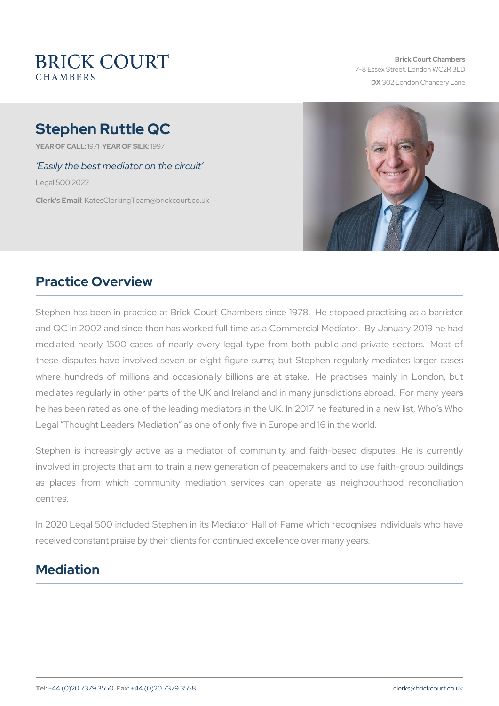# Stephen Ruttle QC

YEAR OF CALLSTAR OF SHLOW 7

Easily the best mediator on the circuit

Legal 500 2022

Clerk's EmatesClerkingTeam@brickcourt.co.uk

# Practice Overview

Stephen has been in practice at Brick Court Chambers since 1978. and QC in 2002 and since then has worked full time as a Commercial mediated nearly 1500 cases of nearly every legal type from both these disputes have involved seven or eight figure sums; but Step where hundreds of millions and occasionally billions are at stake mediates regularly in other parts of the UK and Ireland and in many he has been rated as one of the leading mediators in the UK. In 2017 Legal Thought Leaders: Mediation as one of only five in Europe and

Stephen is increasingly active as a mediator of community and f involved in projects that aim to train a new generation of peacemak as places from which community mediation services can operat centres.

In 2020 Legal 500 included Stephen in its Mediator Hall of Fame wh received constant praise by their clients for continued excellence ove

## Mediation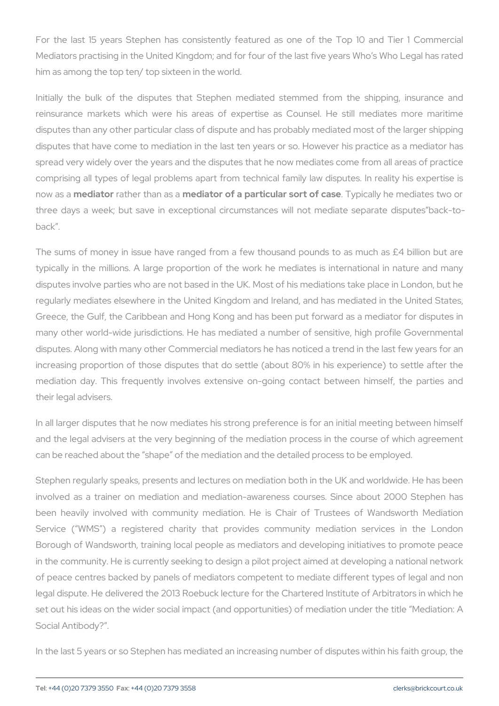For the last 15 years Stephen has consistently featured as one of Mediators practising in the United Kingdom; and for four of the last f him as among the top ten/ top sixteen in the world.

Initially the bulk of the disputes that Stephen mediated stemmed reinsurance markets which were his areas of expertise as Couns disputes than any other particular class of dispute and has probably disputes that have come to mediation in the last ten years or so. Ho spread very widely over the years and the disputes that he now mediates comprising all types of legal problems apart from technical family I now as meadiato a ther tham eachiaator of a particular solvipiontal diva shee mediates three days a week; but save in exceptional circumstances will not back .

The sums of money in issue have ranged from a few thousand poun typically in the millions. A large proportion of the work he mediate disputes involve parties who are not based in the UK. Most of his me regularly mediates elsewhere in the United Kingdom and Ireland, and Greece, the Gulf, the Caribbean and Hong Kong and has been put for many other world-wide jurisdictions. He has mediated a number of s disputes. Along with many other Commercial mediators he has noticed increasing proportion of those disputes that do settle (about 80% in mediation day. This frequently involves extensive on-going contac their legal advisers.

In all larger disputes that he now mediates his strong preference is and the legal advisers at the very beginning of the mediation proces can be reached about the shape of the mediation and the detailed pr

Stephen regularly speaks, presents and lectures on mediation both in involved as a trainer on mediation and mediation-awareness cours been heavily involved with community mediation. He is Chair of Service ( WMS ) a registered charity that provides community Borough of Wandsworth, training local people as mediators and deve in the community. He is currently seeking to design a pilot project aim of peace centres backed by panels of mediators competent to mediat legal dispute. He delivered the 2013 Roebuck lecture for the Chartere set out his ideas on the wider social impact (and opportunities) of m Social Antibody? .

In the last 5 years or so Stephen has mediated an increasing number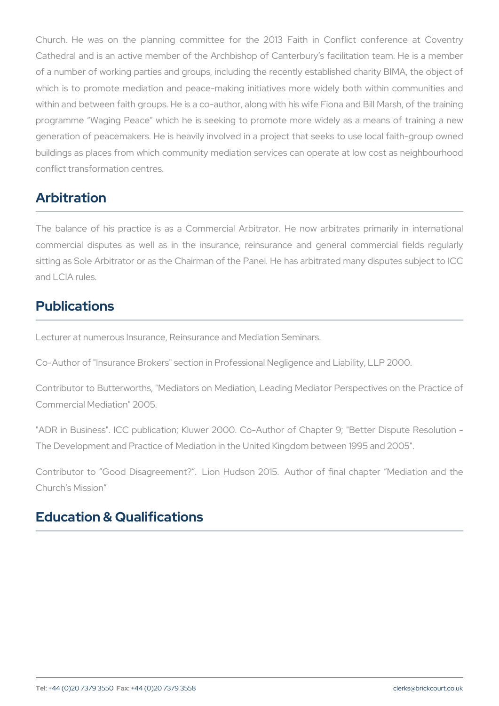Church. He was on the planning committee for the 2013 Faith Cathedral and is an active member of the Archbishop of Canterbury of a number of working parties and groups, including the recently established charity and charity and charity of which is to promote mediation and peace-making initiatives more w within and between faith groups. He is a co-author, along with his wife programme Waging Peace which he is seeking to promote more w generation of peacemakers. He is heavily involved in a project that buildings as places from which community mediation services can operation conflict transformation centres.

## Arbitration

The balance of his practice is as a Commercial Arbitrator. He no commercial disputes as well as in the insurance, reinsurance an sitting as Sole Arbitrator or as the Chairman of the Panel. He has ar and LCIA rules.

# Publications

Lecturer at numerous Insurance, Reinsurance and Mediation Seminars.

Co-Author of "Insurance Brokers" section in Professional Negligence a

Contributor to Butterworths, "Mediators on Mediation, Leading Mediat Commercial Mediation" 2005.

"ADR in Business". ICC publication; Kluwer 2000. Co-Author of Cha The Development and Practice of Mediation in the United Kingdom bet

Contributor to Good Disagreement? . Lion Hudson 2015. Author Church s Mission

## Education & Qualifications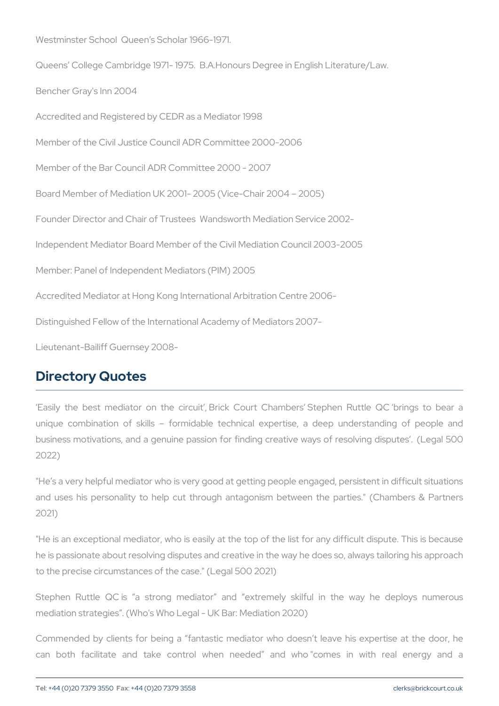Westminster School Queen s Scholar 1966-1971.

Queens College Cambridge 1971- 1975. B.A.Honours Degree in Engli Bencher Gray's Inn 2004

Accredited and Registered by CEDR as a Mediator 1998

Member of the Civil Justice Council ADR Committee 2000-2006

Member of the Bar Council ADR Committee 2000 - 2007

Board Member of Mediation UK 2001- 2005 (Vice-Chair 2004 2005)

Founder Director and Chair of Trustees Wandsworth Mediation Service

Independent Mediator Board Member of the Civil Mediation Council 200

Member: Panel of Independent Mediators (PIM) 2005

Accredited Mediator at Hong Kong International Arbitration Centre 2006- Distinguished Fellow of the International Academy of Mediators 2007- Lieutenant-Bailiff Guernsey 2008-

#### Directory Quotes

Easily the best mediator on the circuit, Brick Court Chambers unique combination of skills formidable technical expertise, a business motivations, and a genuine passion for finding creative way 2022)

"He s a very helpful mediator who is very good at getting people enga and uses his personality to help cut through antagonism between 2021)

"He is an exceptional mediator, who is easily at the top of the list f he is passionate about resolving disputes and creative in the way he to the precise circumstances of the case." (Legal 500 2021)

Stephen Ruttle QC is a strong mediator and extremely skilf mediation strategies . (Who's Who Legal - UK Bar: Mediation 2020)

Commended by clients for being a fantastic mediator who doesn t can both facilitate and take control when needed and who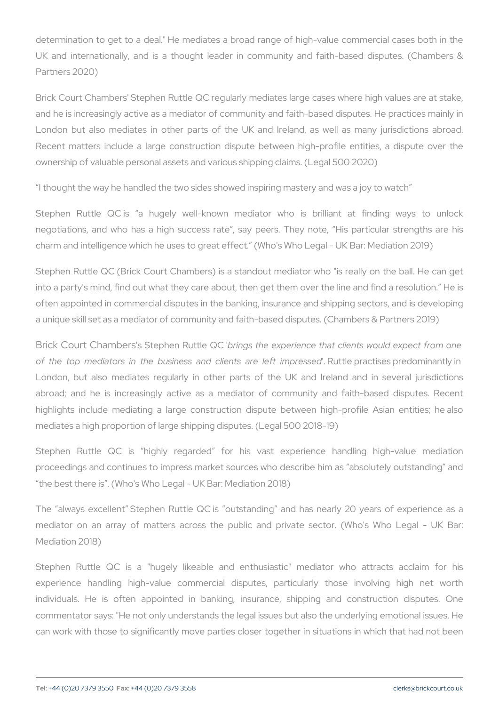determination to get to a deal." He mediates a broad range of high-UK and internationally, and is a thought leader in community and Partners 2020)

Brick Court Chambers' Stephen Ruttle QC regularly mediates large ca and he is increasingly active as a mediator of community and faith-ba London but also mediates in other parts of the UK and Ireland, Recent matters include a large construction dispute between highownership of valuable personal assets and various shipping claims. (L

I thought the way he handled the two sides showed inspiring mastery

Stephen Ruttle QC is a hugely well-known mediator who is negotiations, and who has a high success rate, say peers. They charm and intelligence which he uses to great effect. (Who's Who Leg

Stephen Ruttle QC (Brick Court Chambers) is a standout mediator who into a party's mind, find out what they care about, then get them ove often appointed in commercial disputes in the banking, insurance and a unique skill set as a mediator of community and faith-based disputes

Brick Court Chsam Steephen Ruttle g@ Cthe experience that clients would of the top mediators in the business and Raulite let praacte is elect for endipined London, but also mediates regularly in other parts of the UK an abroad; and he is increasingly active as a mediator of communi highlights include mediating a large construction dispute between mediates a high proportion of large shipping disputes. (Legal 500 201

Stephen Ruttle QC is highly regarded for his vast experience proceedings and continues to impress market sources who describe h the best there is . (Who's Who Legal - UK Bar: Mediation 2018)

The always excellent Stephen Ruttle QC is outstanding and has mediator on an array of matters across the public and private sector. Mediation 2018)

Stephen Ruttle QC is a "hugely likeable and enthusiastic" me experience handling high-value commercial disputes, particularl individuals. He is often appointed in banking, insurance, ship commentator says: "He not only understands the legal issues but also can work with those to significantly move parties closer together in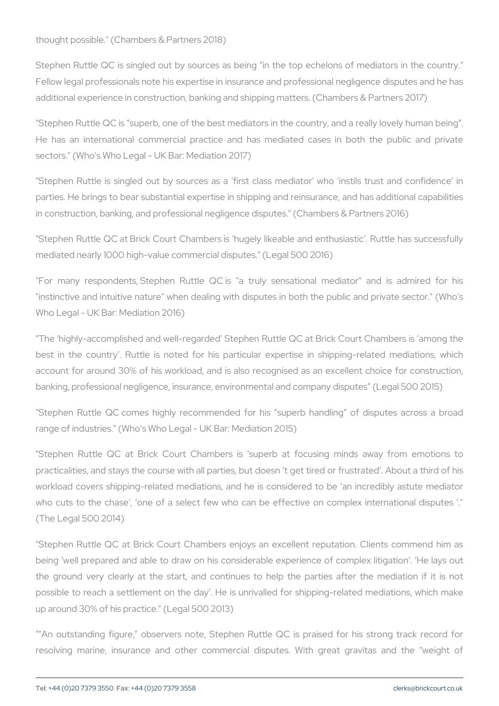thought possible." (Chambers & Partners 2018)

Stephen Ruttle QC is singled out by sources as being "in the top e Fellow legal professionals note his expertise in insurance and profess additional experience in construction, banking and shipping matters. (

"Stephen Ruttle QC is superb, one of the best mediators in the count He has an international commercial practice and has mediated  $c_3$ sectors." (Who's Who Legal - UK Bar: Mediation 2017)

"Stephen Ruttle is singled out by sources as a 'first class mediato parties. He brings to bear substantial expertise in shipping and reins in construction, banking, and professional negligence disputes." (Char

"Stephen Ruttle QC at Brick Court Chambers is hugely likeable and mediated nearly 1000 high-value commercial disputes." (Legal 500 2016)

"For many respondents, Stephen Ruttle QC is "a truly sensational "instinctive and intuitive nature" when dealing with disputes in both Who Legal - UK Bar: Mediation 2016)

The highly-accomplished and well-regarded Stephen Ruttle QC at B best in the country . Ruttle is noted for his particular expertise account for around 30% of his workload, and is also recognised as banking, professional negligence, insurance, environmental and compa

"Stephen Ruttle QC comes highly recommended for his superb har range of industries." (Who's Who Legal - UK Bar: Mediation 2015)

"Stephen Ruttle QC at Brick Court Chambers is superb at focu practicalities, and stays the course with all parties, but doesn t get workload covers shipping-related mediations, and he is considered who cuts to the chase', one of a select few who can be effective (The Legal 500 2014)

"Stephen Ruttle QC at Brick Court Chambers enjoys an excellent r being well prepared and able to draw on his considerable experience the ground very clearly at the start, and continues to help the p possible to reach a settlement on the day. He is unrivalled for shi up around 30% of his practice." (Legal 500 2013)

""An outstanding figure," observers note, Stephen Ruttle QC is praised for resolving marine, insurance and other commercial disputes. With